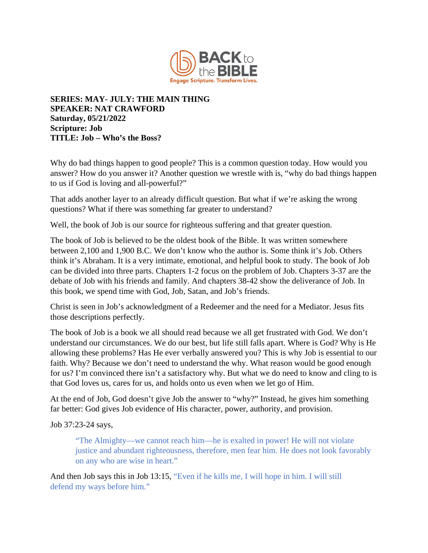

## **SERIES: MAY- JULY: THE MAIN THING SPEAKER: NAT CRAWFORD Saturday, 05/21/2022 Scripture: Job TITLE: Job – Who's the Boss?**

Why do bad things happen to good people? This is a common question today. How would you answer? How do you answer it? Another question we wrestle with is, "why do bad things happen to us if God is loving and all-powerful?"

That adds another layer to an already difficult question. But what if we're asking the wrong questions? What if there was something far greater to understand?

Well, the book of Job is our source for righteous suffering and that greater question.

The book of Job is believed to be the oldest book of the Bible. It was written somewhere between 2,100 and 1,900 B.C. We don't know who the author is. Some think it's Job. Others think it's Abraham. It is a very intimate, emotional, and helpful book to study. The book of Job can be divided into three parts. Chapters 1-2 focus on the problem of Job. Chapters 3-37 are the debate of Job with his friends and family. And chapters 38-42 show the deliverance of Job. In this book, we spend time with God, Job, Satan, and Job's friends.

Christ is seen in Job's acknowledgment of a Redeemer and the need for a Mediator. Jesus fits those descriptions perfectly.

The book of Job is a book we all should read because we all get frustrated with God. We don't understand our circumstances. We do our best, but life still falls apart. Where is God? Why is He allowing these problems? Has He ever verbally answered you? This is why Job is essential to our faith. Why? Because we don't need to understand the why. What reason would be good enough for us? I'm convinced there isn't a satisfactory why. But what we do need to know and cling to is that God loves us, cares for us, and holds onto us even when we let go of Him.

At the end of Job, God doesn't give Job the answer to "why?" Instead, he gives him something far better: God gives Job evidence of His character, power, authority, and provision.

Job 37:23-24 says,

"The Almighty—we cannot reach him—he is exalted in power! He will not violate justice and abundant righteousness, therefore, men fear him. He does not look favorably on any who are wise in heart."

And then Job says this in Job 13:15, "Even if he kills me, I will hope in him. I will still defend my ways before him."